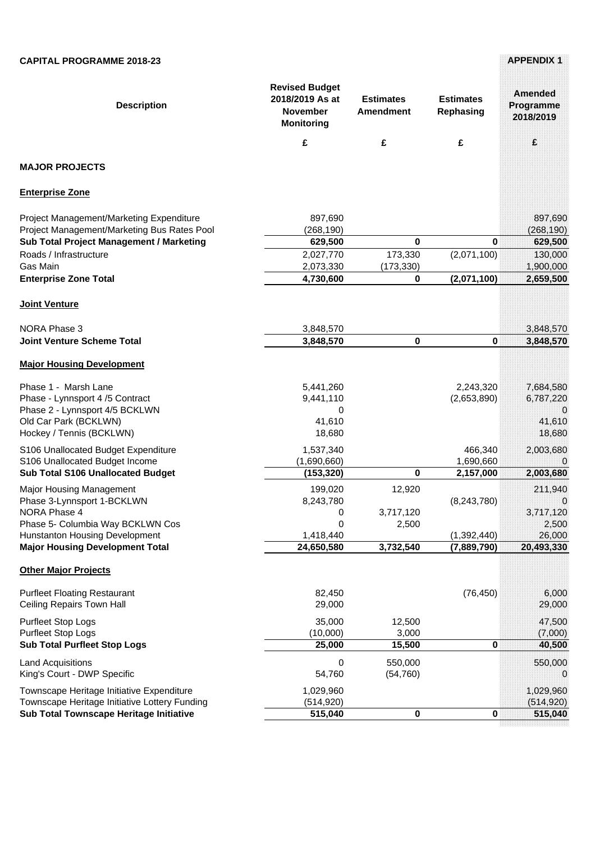| <b>Description</b>                                                       | <b>Revised Budget</b><br>2018/2019 As at<br><b>November</b><br><b>Monitoring</b> | <b>Estimates</b><br><b>Amendment</b> | <b>Estimates</b><br>Rephasing | <b>Amended</b><br>Programme<br>2018/2019 |
|--------------------------------------------------------------------------|----------------------------------------------------------------------------------|--------------------------------------|-------------------------------|------------------------------------------|
|                                                                          | £                                                                                | £                                    | £                             | £                                        |
| <b>MAJOR PROJECTS</b>                                                    |                                                                                  |                                      |                               |                                          |
| <b>Enterprise Zone</b>                                                   |                                                                                  |                                      |                               |                                          |
| Project Management/Marketing Expenditure                                 | 897,690                                                                          |                                      |                               | 897,690                                  |
| Project Management/Marketing Bus Rates Pool                              | (268, 190)                                                                       |                                      |                               | (268, 190)                               |
| Sub Total Project Management / Marketing                                 | 629,500                                                                          | $\mathbf 0$                          | 0                             | 629,500                                  |
| Roads / Infrastructure                                                   | 2,027,770                                                                        | 173,330                              | (2,071,100)                   | 130,000                                  |
| Gas Main                                                                 | 2,073,330                                                                        | (173, 330)                           |                               | 1,900,000                                |
| <b>Enterprise Zone Total</b>                                             | 4,730,600                                                                        | 0                                    | (2,071,100)                   | 2,659,500                                |
| Joint Venture                                                            |                                                                                  |                                      |                               |                                          |
| <b>NORA Phase 3</b>                                                      | 3,848,570                                                                        |                                      |                               | 3,848,570                                |
| <b>Joint Venture Scheme Total</b>                                        | 3,848,570                                                                        | $\mathbf 0$                          | 0                             | 3,848,570                                |
| <b>Major Housing Development</b>                                         |                                                                                  |                                      |                               |                                          |
| Phase 1 - Marsh Lane                                                     | 5,441,260                                                                        |                                      | 2,243,320                     | 7,684,580                                |
| Phase - Lynnsport 4/5 Contract                                           | 9,441,110                                                                        |                                      | (2,653,890)                   | 6,787,220                                |
| Phase 2 - Lynnsport 4/5 BCKLWN                                           | 0                                                                                |                                      |                               | O                                        |
| Old Car Park (BCKLWN)                                                    | 41,610                                                                           |                                      |                               | 41,610                                   |
| Hockey / Tennis (BCKLWN)                                                 | 18,680                                                                           |                                      |                               | 18,680                                   |
| S106 Unallocated Budget Expenditure                                      | 1,537,340                                                                        |                                      | 466,340                       | 2,003,680                                |
| S106 Unallocated Budget Income                                           | (1,690,660)                                                                      |                                      | 1,690,660                     | 0                                        |
| <b>Sub Total S106 Unallocated Budget</b>                                 | (153, 320)                                                                       | 0                                    | 2,157,000                     | 2,003,680                                |
| <b>Major Housing Management</b>                                          | 199,020                                                                          | 12,920                               |                               | 211,940                                  |
| Phase 3-Lynnsport 1-BCKLWN                                               | 8,243,780                                                                        |                                      | (8, 243, 780)                 | 0                                        |
| <b>NORA Phase 4</b>                                                      | 0                                                                                | 3,717,120                            |                               | 3,717,120                                |
| Phase 5- Columbia Way BCKLWN Cos                                         | 0                                                                                | 2,500                                |                               | 2,500                                    |
| Hunstanton Housing Development<br><b>Major Housing Development Total</b> | 1,418,440<br>24,650,580                                                          | 3,732,540                            | (1,392,440)<br>(7,889,790)    | 26,000<br>20,493,330                     |
|                                                                          |                                                                                  |                                      |                               |                                          |
| <b>Other Major Projects</b>                                              |                                                                                  |                                      |                               |                                          |
| <b>Purfleet Floating Restaurant</b>                                      | 82,450                                                                           |                                      | (76, 450)                     | 6,000                                    |
| Ceiling Repairs Town Hall                                                | 29,000                                                                           |                                      |                               | 29,000                                   |
| <b>Purfleet Stop Logs</b>                                                | 35,000                                                                           | 12,500                               |                               | 47,500                                   |
| <b>Purfleet Stop Logs</b>                                                | (10,000)                                                                         | 3,000                                |                               | (7,000)                                  |
| <b>Sub Total Purfleet Stop Logs</b>                                      | 25,000                                                                           | 15,500                               | 0                             | 40,500                                   |
| <b>Land Acquisitions</b>                                                 | 0                                                                                | 550,000                              |                               | 550,000                                  |
| King's Court - DWP Specific                                              | 54,760                                                                           | (54, 760)                            |                               | 0                                        |
| Townscape Heritage Initiative Expenditure                                | 1,029,960                                                                        |                                      |                               | 1,029,960                                |
| Townscape Heritage Initiative Lottery Funding                            | (514, 920)                                                                       |                                      |                               | (514, 920)                               |
| Sub Total Townscape Heritage Initiative                                  | 515,040                                                                          | $\pmb{0}$                            | 0                             | 515,040                                  |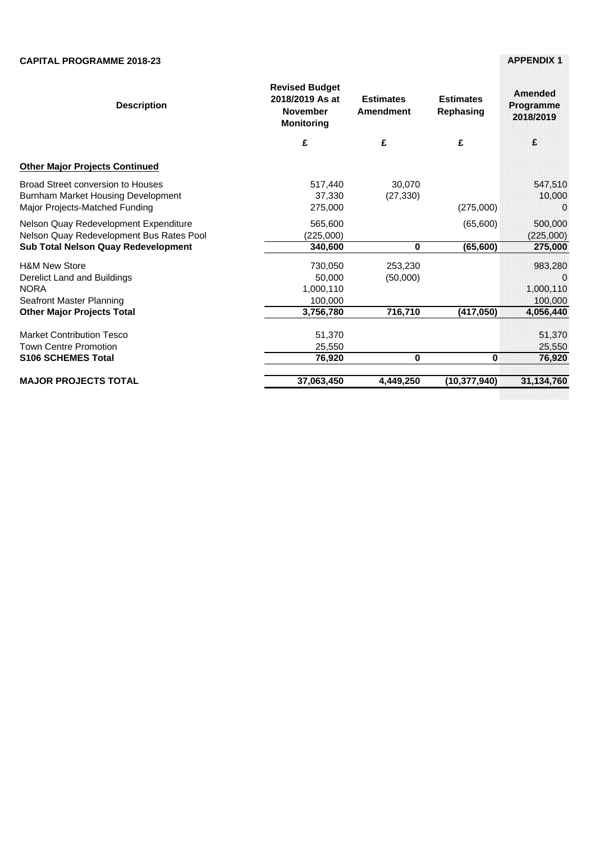| <b>Description</b>                                                                                                              | <b>Revised Budget</b><br>2018/2019 As at<br><b>November</b><br><b>Monitoring</b> | <b>Estimates</b><br>Amendment | <b>Estimates</b><br>Rephasing | Amended<br>Programme<br>2018/2019    |
|---------------------------------------------------------------------------------------------------------------------------------|----------------------------------------------------------------------------------|-------------------------------|-------------------------------|--------------------------------------|
|                                                                                                                                 | £                                                                                | £                             | £                             | £                                    |
| <b>Other Major Projects Continued</b>                                                                                           |                                                                                  |                               |                               |                                      |
| Broad Street conversion to Houses<br>Burnham Market Housing Development<br>Major Projects-Matched Funding                       | 517,440<br>37,330<br>275,000                                                     | 30,070<br>(27, 330)           | (275,000)                     | 547,510<br>10,000<br>$\Omega$        |
| Nelson Quay Redevelopment Expenditure<br>Nelson Quay Redevelopment Bus Rates Pool<br><b>Sub Total Nelson Quay Redevelopment</b> | 565,600<br>(225,000)<br>340,600                                                  | 0                             | (65,600)<br>(65, 600)         | 500,000<br>(225,000)<br>275,000      |
| <b>H&amp;M New Store</b><br>Derelict Land and Buildings<br><b>NORA</b><br>Seafront Master Planning                              | 730.050<br>50,000<br>1,000,110<br>100,000                                        | 253,230<br>(50,000)           |                               | 983.280<br>0<br>1,000,110<br>100,000 |
| <b>Other Major Projects Total</b>                                                                                               | 3,756,780                                                                        | 716,710                       | (417, 050)                    | 4,056,440                            |
| <b>Market Contribution Tesco</b><br><b>Town Centre Promotion</b><br><b>S106 SCHEMES Total</b>                                   | 51,370<br>25,550<br>76,920                                                       | 0                             | 0                             | 51,370<br>25,550<br>76,920           |
| <b>MAJOR PROJECTS TOTAL</b>                                                                                                     | 37,063,450                                                                       | 4.449.250                     | (10.377.940)                  | 31,134,760                           |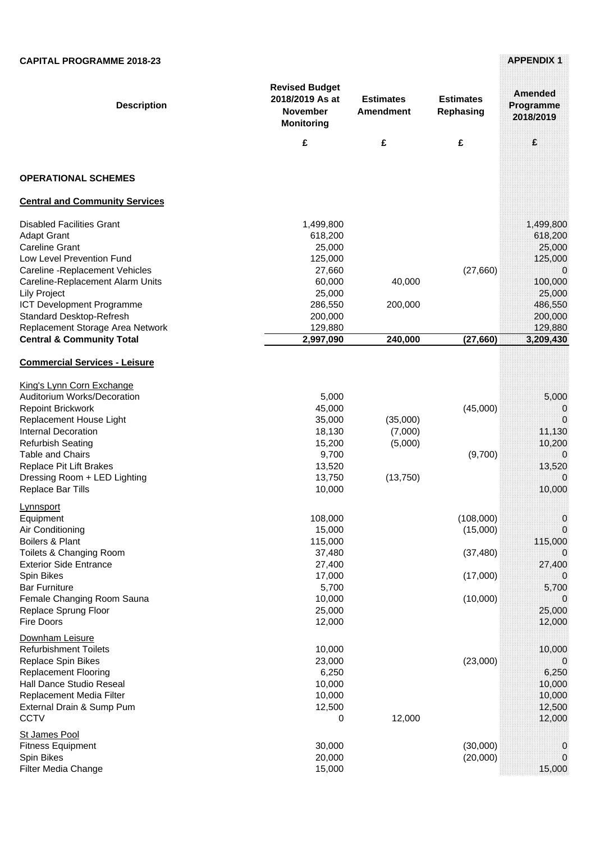| <b>Description</b>                                                                                                                                                                                                                                                                                                                  | <b>Revised Budget</b><br>2018/2019 As at<br><b>November</b><br><b>Monitoring</b>                  | <b>Estimates</b><br><b>Amendment</b>        | <b>Estimates</b><br>Rephasing                              | Amended<br>Programme<br>2018/2019                                                         |
|-------------------------------------------------------------------------------------------------------------------------------------------------------------------------------------------------------------------------------------------------------------------------------------------------------------------------------------|---------------------------------------------------------------------------------------------------|---------------------------------------------|------------------------------------------------------------|-------------------------------------------------------------------------------------------|
|                                                                                                                                                                                                                                                                                                                                     | £                                                                                                 | £                                           | £                                                          | £                                                                                         |
| <b>OPERATIONAL SCHEMES</b>                                                                                                                                                                                                                                                                                                          |                                                                                                   |                                             |                                                            |                                                                                           |
| <b>Central and Community Services</b>                                                                                                                                                                                                                                                                                               |                                                                                                   |                                             |                                                            |                                                                                           |
| <b>Disabled Facilities Grant</b><br><b>Adapt Grant</b><br><b>Careline Grant</b><br>Low Level Prevention Fund<br>Careline - Replacement Vehicles<br>Careline-Replacement Alarm Units<br>Lily Project<br>ICT Development Programme<br>Standard Desktop-Refresh                                                                        | 1,499,800<br>618,200<br>25,000<br>125,000<br>27,660<br>60,000<br>25,000<br>286,550<br>200,000     | 40,000<br>200,000                           | (27, 660)                                                  | 1,499,800<br>618,200<br>25,000<br>125,000<br>0<br>100,000<br>25,000<br>486,550<br>200,000 |
| Replacement Storage Area Network                                                                                                                                                                                                                                                                                                    | 129,880                                                                                           |                                             |                                                            | 129,880                                                                                   |
| <b>Central &amp; Community Total</b>                                                                                                                                                                                                                                                                                                | 2,997,090                                                                                         | 240,000                                     | (27, 660)                                                  | 3,209,430                                                                                 |
| <b>Commercial Services - Leisure</b><br>King's Lynn Corn Exchange<br>Auditorium Works/Decoration<br><b>Repoint Brickwork</b><br>Replacement House Light<br><b>Internal Decoration</b><br><b>Refurbish Seating</b><br><b>Table and Chairs</b><br><b>Replace Pit Lift Brakes</b><br>Dressing Room + LED Lighting<br>Replace Bar Tills | 5,000<br>45,000<br>35,000<br>18,130<br>15,200<br>9,700<br>13,520<br>13,750<br>10,000              | (35,000)<br>(7,000)<br>(5,000)<br>(13, 750) | (45,000)<br>(9,700)                                        | 5,000<br>0<br>0<br>11,130<br>10,200<br>0<br>13,520<br>0<br>10,000                         |
| <u>Lynnsport</u><br>Equipment<br>Air Conditioning<br>Boilers & Plant<br>Toilets & Changing Room<br><b>Exterior Side Entrance</b><br>Spin Bikes<br><b>Bar Furniture</b><br>Female Changing Room Sauna<br>Replace Sprung Floor<br><b>Fire Doors</b>                                                                                   | 108,000<br>15,000<br>115,000<br>37,480<br>27,400<br>17,000<br>5,700<br>10,000<br>25,000<br>12,000 |                                             | (108,000)<br>(15,000)<br>(37, 480)<br>(17,000)<br>(10,000) | 0<br>115,000<br>0<br>27,400<br>5,700<br>0<br>25,000<br>12,000                             |
| Downham Leisure<br><b>Refurbishment Toilets</b><br>Replace Spin Bikes<br><b>Replacement Flooring</b><br>Hall Dance Studio Reseal<br>Replacement Media Filter<br>External Drain & Sump Pum<br><b>CCTV</b>                                                                                                                            | 10,000<br>23,000<br>6,250<br>10,000<br>10,000<br>12,500<br>0                                      | 12,000                                      | (23,000)                                                   | 10,000<br>0<br>6,250<br>10,000<br>10,000<br>12,500<br>12,000                              |
| St James Pool<br><b>Fitness Equipment</b><br>Spin Bikes<br>Filter Media Change                                                                                                                                                                                                                                                      | 30,000<br>20,000<br>15,000                                                                        |                                             | (30,000)<br>(20,000)                                       | 0<br>0<br>15,000                                                                          |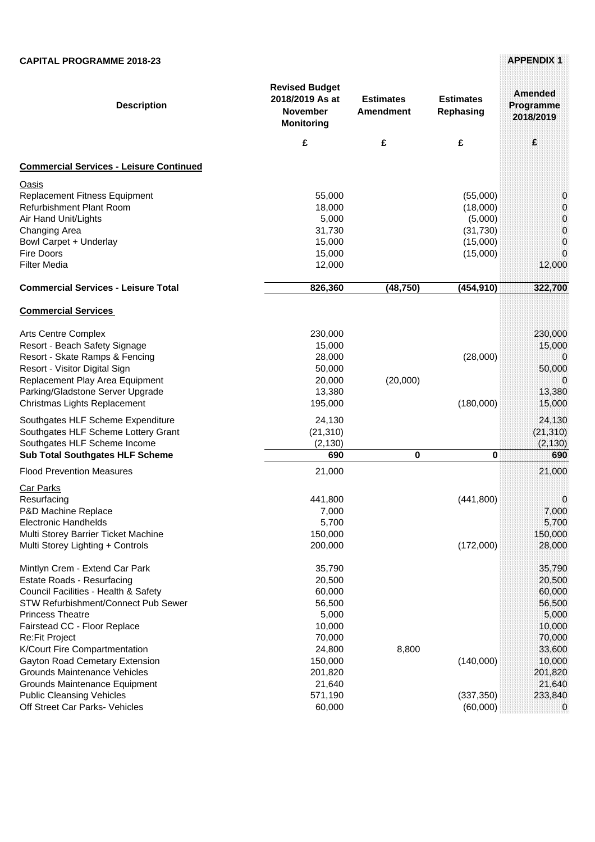| <b>Description</b><br><b>Commercial Services - Leisure Continued</b> | <b>Revised Budget</b><br>2018/2019 As at<br><b>November</b><br><b>Monitoring</b><br>£ | <b>Estimates</b><br><b>Amendment</b><br>£ | <b>Estimates</b><br>Rephasing<br>£ | Amended<br>Programme<br>2018/2019<br>£ |
|----------------------------------------------------------------------|---------------------------------------------------------------------------------------|-------------------------------------------|------------------------------------|----------------------------------------|
| <b>Oasis</b>                                                         |                                                                                       |                                           |                                    |                                        |
| Replacement Fitness Equipment                                        | 55,000                                                                                |                                           | (55,000)                           | 0                                      |
| <b>Refurbishment Plant Room</b>                                      | 18,000                                                                                |                                           | (18,000)                           | 0                                      |
| Air Hand Unit/Lights                                                 | 5,000                                                                                 |                                           | (5,000)                            | 0                                      |
| Changing Area                                                        | 31,730                                                                                |                                           | (31, 730)                          | 0                                      |
| Bowl Carpet + Underlay                                               | 15,000                                                                                |                                           | (15,000)                           | 0                                      |
| Fire Doors                                                           | 15,000                                                                                |                                           | (15,000)                           | 0                                      |
| <b>Filter Media</b>                                                  | 12,000                                                                                |                                           |                                    | 12,000                                 |
| <b>Commercial Services - Leisure Total</b>                           | 826,360                                                                               | (48, 750)                                 | (454, 910)                         | 322,700                                |
| <b>Commercial Services</b>                                           |                                                                                       |                                           |                                    |                                        |
| <b>Arts Centre Complex</b>                                           | 230,000                                                                               |                                           |                                    | 230,000                                |
| Resort - Beach Safety Signage                                        | 15,000                                                                                |                                           |                                    | 15,000                                 |
| Resort - Skate Ramps & Fencing                                       | 28,000                                                                                |                                           | (28,000)                           | 0                                      |
| Resort - Visitor Digital Sign                                        | 50,000                                                                                |                                           |                                    | 50,000                                 |
| Replacement Play Area Equipment                                      | 20,000                                                                                | (20,000)                                  |                                    | $\Omega$                               |
| Parking/Gladstone Server Upgrade                                     | 13,380                                                                                |                                           |                                    | 13,380                                 |
| Christmas Lights Replacement                                         | 195,000                                                                               |                                           | (180,000)                          | 15,000                                 |
| Southgates HLF Scheme Expenditure                                    | 24,130                                                                                |                                           |                                    | 24,130                                 |
| Southgates HLF Scheme Lottery Grant                                  | (21, 310)                                                                             |                                           |                                    | (21, 310)                              |
| Southgates HLF Scheme Income                                         | (2, 130)                                                                              |                                           |                                    | (2, 130)                               |
| <b>Sub Total Southgates HLF Scheme</b>                               | 690                                                                                   | $\mathbf 0$                               | 0                                  | 690                                    |
| <b>Flood Prevention Measures</b>                                     | 21,000                                                                                |                                           |                                    | 21,000                                 |
| <b>Car Parks</b>                                                     |                                                                                       |                                           |                                    |                                        |
| Resurfacing                                                          | 441,800                                                                               |                                           | (441, 800)                         | 0                                      |
| P&D Machine Replace                                                  | 7,000                                                                                 |                                           |                                    | 7,000                                  |
| <b>Electronic Handhelds</b>                                          | 5,700                                                                                 |                                           |                                    | 5,700                                  |
| Multi Storey Barrier Ticket Machine                                  | 150,000                                                                               |                                           |                                    | 150,000                                |
| Multi Storey Lighting + Controls                                     | 200,000                                                                               |                                           | (172,000)                          | 28,000                                 |
| Mintlyn Crem - Extend Car Park                                       | 35,790                                                                                |                                           |                                    | 35,790                                 |
| <b>Estate Roads - Resurfacing</b>                                    | 20,500                                                                                |                                           |                                    | 20,500                                 |
| Council Facilities - Health & Safety                                 | 60,000                                                                                |                                           |                                    | 60,000                                 |
| STW Refurbishment/Connect Pub Sewer                                  | 56,500                                                                                |                                           |                                    | 56,500                                 |
| <b>Princess Theatre</b>                                              | 5,000                                                                                 |                                           |                                    | 5,000                                  |
| Fairstead CC - Floor Replace                                         | 10,000                                                                                |                                           |                                    | 10,000                                 |
| Re:Fit Project                                                       | 70,000                                                                                |                                           |                                    | 70,000                                 |
| K/Court Fire Compartmentation                                        | 24,800                                                                                | 8,800                                     |                                    | 33,600                                 |
| Gayton Road Cemetary Extension                                       | 150,000                                                                               |                                           | (140,000)                          | 10,000                                 |
| <b>Grounds Maintenance Vehicles</b>                                  | 201,820                                                                               |                                           |                                    | 201,820                                |
| Grounds Maintenance Equipment                                        | 21,640                                                                                |                                           |                                    | 21,640                                 |
| <b>Public Cleansing Vehicles</b>                                     | 571,190                                                                               |                                           | (337, 350)                         | 233,840                                |
| Off Street Car Parks- Vehicles                                       | 60,000                                                                                |                                           | (60,000)                           | 0                                      |